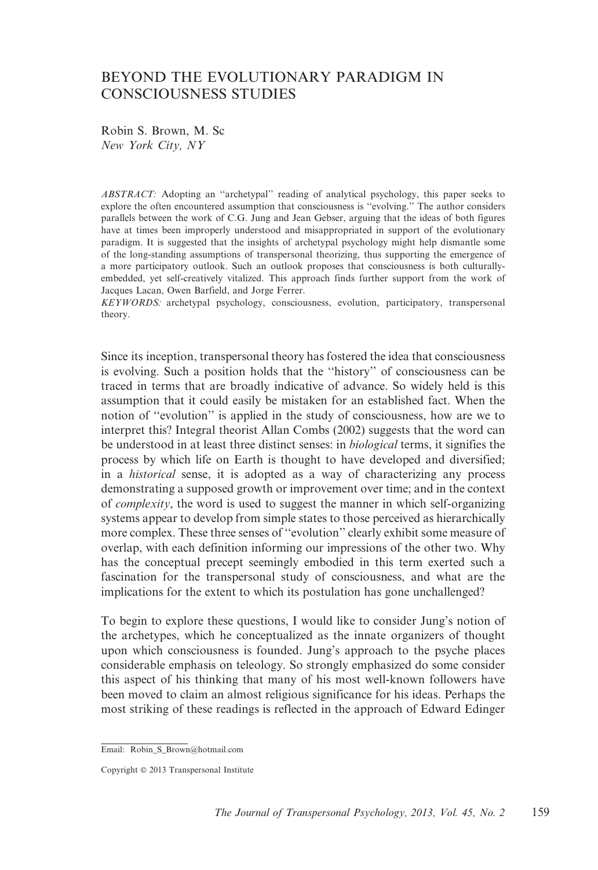# BEYOND THE EVOLUTIONARY PARADIGM IN CONSCIOUSNESS STUDIES

Robin S. Brown, M. Sc New York City, NY

ABSTRACT: Adopting an ''archetypal'' reading of analytical psychology, this paper seeks to explore the often encountered assumption that consciousness is ''evolving.'' The author considers parallels between the work of C.G. Jung and Jean Gebser, arguing that the ideas of both figures have at times been improperly understood and misappropriated in support of the evolutionary paradigm. It is suggested that the insights of archetypal psychology might help dismantle some of the long-standing assumptions of transpersonal theorizing, thus supporting the emergence of a more participatory outlook. Such an outlook proposes that consciousness is both culturallyembedded, yet self-creatively vitalized. This approach finds further support from the work of Jacques Lacan, Owen Barfield, and Jorge Ferrer.

KEYWORDS: archetypal psychology, consciousness, evolution, participatory, transpersonal theory.

Since its inception, transpersonal theory has fostered the idea that consciousness is evolving. Such a position holds that the ''history'' of consciousness can be traced in terms that are broadly indicative of advance. So widely held is this assumption that it could easily be mistaken for an established fact. When the notion of ''evolution'' is applied in the study of consciousness, how are we to interpret this? Integral theorist Allan Combs (2002) suggests that the word can be understood in at least three distinct senses: in biological terms, it signifies the process by which life on Earth is thought to have developed and diversified; in a historical sense, it is adopted as a way of characterizing any process demonstrating a supposed growth or improvement over time; and in the context of complexity, the word is used to suggest the manner in which self-organizing systems appear to develop from simple states to those perceived as hierarchically more complex. These three senses of ''evolution'' clearly exhibit some measure of overlap, with each definition informing our impressions of the other two. Why has the conceptual precept seemingly embodied in this term exerted such a fascination for the transpersonal study of consciousness, and what are the implications for the extent to which its postulation has gone unchallenged?

To begin to explore these questions, I would like to consider Jung's notion of the archetypes, which he conceptualized as the innate organizers of thought upon which consciousness is founded. Jung's approach to the psyche places considerable emphasis on teleology. So strongly emphasized do some consider this aspect of his thinking that many of his most well-known followers have been moved to claim an almost religious significance for his ideas. Perhaps the most striking of these readings is reflected in the approach of Edward Edinger

Email: Robin S Brown@hotmail.com

Copyright © 2013 Transpersonal Institute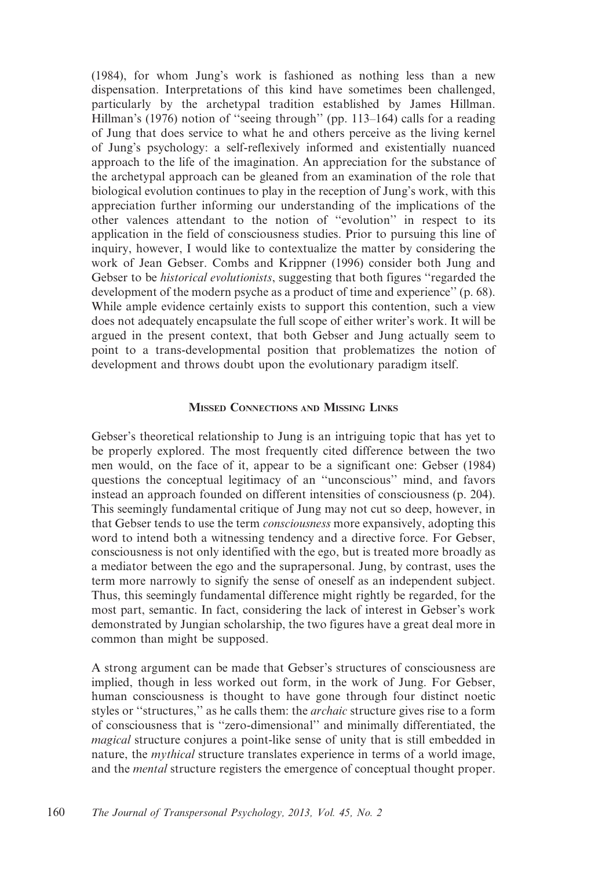(1984), for whom Jung's work is fashioned as nothing less than a new dispensation. Interpretations of this kind have sometimes been challenged, particularly by the archetypal tradition established by James Hillman. Hillman's (1976) notion of ''seeing through'' (pp. 113–164) calls for a reading of Jung that does service to what he and others perceive as the living kernel of Jung's psychology: a self-reflexively informed and existentially nuanced approach to the life of the imagination. An appreciation for the substance of the archetypal approach can be gleaned from an examination of the role that biological evolution continues to play in the reception of Jung's work, with this appreciation further informing our understanding of the implications of the other valences attendant to the notion of ''evolution'' in respect to its application in the field of consciousness studies. Prior to pursuing this line of inquiry, however, I would like to contextualize the matter by considering the work of Jean Gebser. Combs and Krippner (1996) consider both Jung and Gebser to be *historical evolutionists*, suggesting that both figures "regarded the development of the modern psyche as a product of time and experience'' (p. 68). While ample evidence certainly exists to support this contention, such a view does not adequately encapsulate the full scope of either writer's work. It will be argued in the present context, that both Gebser and Jung actually seem to point to a trans-developmental position that problematizes the notion of development and throws doubt upon the evolutionary paradigm itself.

### MISSED CONNECTIONS AND MISSING LINKS

Gebser's theoretical relationship to Jung is an intriguing topic that has yet to be properly explored. The most frequently cited difference between the two men would, on the face of it, appear to be a significant one: Gebser (1984) questions the conceptual legitimacy of an ''unconscious'' mind, and favors instead an approach founded on different intensities of consciousness (p. 204). This seemingly fundamental critique of Jung may not cut so deep, however, in that Gebser tends to use the term consciousness more expansively, adopting this word to intend both a witnessing tendency and a directive force. For Gebser, consciousness is not only identified with the ego, but is treated more broadly as a mediator between the ego and the suprapersonal. Jung, by contrast, uses the term more narrowly to signify the sense of oneself as an independent subject. Thus, this seemingly fundamental difference might rightly be regarded, for the most part, semantic. In fact, considering the lack of interest in Gebser's work demonstrated by Jungian scholarship, the two figures have a great deal more in common than might be supposed.

A strong argument can be made that Gebser's structures of consciousness are implied, though in less worked out form, in the work of Jung. For Gebser, human consciousness is thought to have gone through four distinct noetic styles or "structures," as he calls them: the *archaic* structure gives rise to a form of consciousness that is ''zero-dimensional'' and minimally differentiated, the magical structure conjures a point-like sense of unity that is still embedded in nature, the *mythical* structure translates experience in terms of a world image, and the mental structure registers the emergence of conceptual thought proper.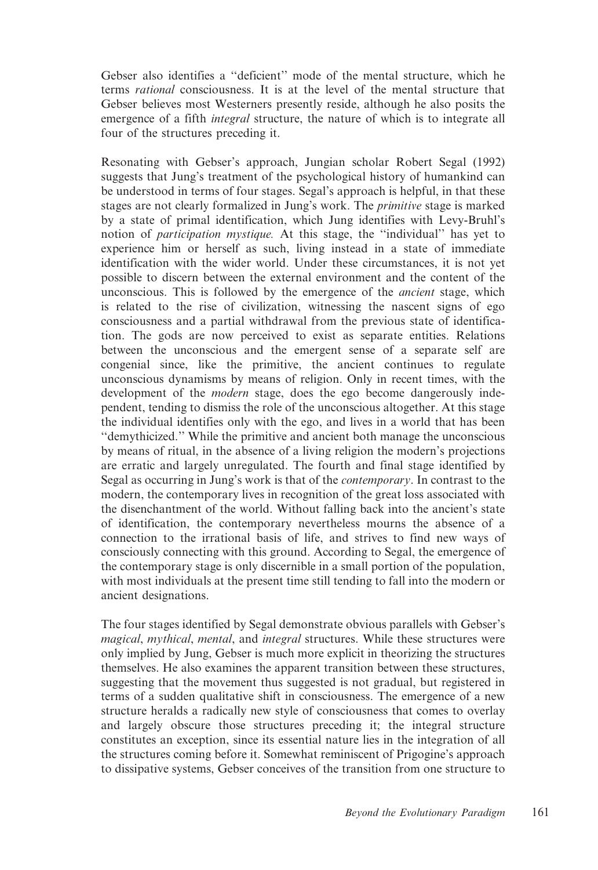Gebser also identifies a ''deficient'' mode of the mental structure, which he terms rational consciousness. It is at the level of the mental structure that Gebser believes most Westerners presently reside, although he also posits the emergence of a fifth *integral* structure, the nature of which is to integrate all four of the structures preceding it.

Resonating with Gebser's approach, Jungian scholar Robert Segal (1992) suggests that Jung's treatment of the psychological history of humankind can be understood in terms of four stages. Segal's approach is helpful, in that these stages are not clearly formalized in Jung's work. The *primitive* stage is marked by a state of primal identification, which Jung identifies with Levy-Bruhl's notion of *participation mystique*. At this stage, the "individual" has yet to experience him or herself as such, living instead in a state of immediate identification with the wider world. Under these circumstances, it is not yet possible to discern between the external environment and the content of the unconscious. This is followed by the emergence of the ancient stage, which is related to the rise of civilization, witnessing the nascent signs of ego consciousness and a partial withdrawal from the previous state of identification. The gods are now perceived to exist as separate entities. Relations between the unconscious and the emergent sense of a separate self are congenial since, like the primitive, the ancient continues to regulate unconscious dynamisms by means of religion. Only in recent times, with the development of the *modern* stage, does the ego become dangerously independent, tending to dismiss the role of the unconscious altogether. At this stage the individual identifies only with the ego, and lives in a world that has been ''demythicized.'' While the primitive and ancient both manage the unconscious by means of ritual, in the absence of a living religion the modern's projections are erratic and largely unregulated. The fourth and final stage identified by Segal as occurring in Jung's work is that of the contemporary. In contrast to the modern, the contemporary lives in recognition of the great loss associated with the disenchantment of the world. Without falling back into the ancient's state of identification, the contemporary nevertheless mourns the absence of a connection to the irrational basis of life, and strives to find new ways of consciously connecting with this ground. According to Segal, the emergence of the contemporary stage is only discernible in a small portion of the population, with most individuals at the present time still tending to fall into the modern or ancient designations.

The four stages identified by Segal demonstrate obvious parallels with Gebser's magical, mythical, mental, and integral structures. While these structures were only implied by Jung, Gebser is much more explicit in theorizing the structures themselves. He also examines the apparent transition between these structures, suggesting that the movement thus suggested is not gradual, but registered in terms of a sudden qualitative shift in consciousness. The emergence of a new structure heralds a radically new style of consciousness that comes to overlay and largely obscure those structures preceding it; the integral structure constitutes an exception, since its essential nature lies in the integration of all the structures coming before it. Somewhat reminiscent of Prigogine's approach to dissipative systems, Gebser conceives of the transition from one structure to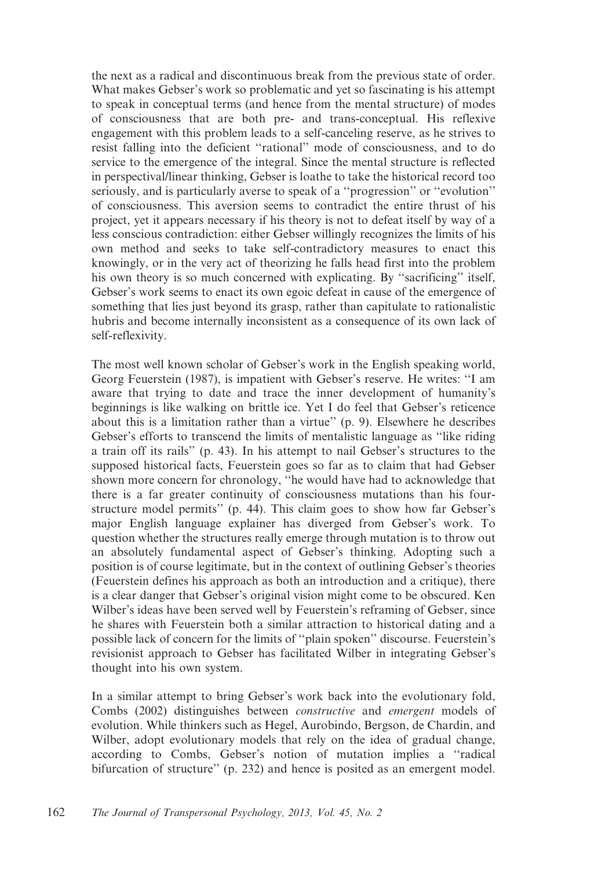the next as a radical and discontinuous break from the previous state of order. What makes Gebser's work so problematic and yet so fascinating is his attempt to speak in conceptual terms (and hence from the mental structure) of modes of consciousness that are both pre- and trans-conceptual. His reflexive engagement with this problem leads to a self-canceling reserve, as he strives to resist falling into the deficient ''rational'' mode of consciousness, and to do service to the emergence of the integral. Since the mental structure is reflected in perspectival/linear thinking, Gebser is loathe to take the historical record too seriously, and is particularly averse to speak of a ''progression'' or ''evolution'' of consciousness. This aversion seems to contradict the entire thrust of his project, yet it appears necessary if his theory is not to defeat itself by way of a less conscious contradiction: either Gebser willingly recognizes the limits of his own method and seeks to take self-contradictory measures to enact this knowingly, or in the very act of theorizing he falls head first into the problem his own theory is so much concerned with explicating. By ''sacrificing'' itself, Gebser's work seems to enact its own egoic defeat in cause of the emergence of something that lies just beyond its grasp, rather than capitulate to rationalistic hubris and become internally inconsistent as a consequence of its own lack of self-reflexivity.

The most well known scholar of Gebser's work in the English speaking world, Georg Feuerstein (1987), is impatient with Gebser's reserve. He writes: ''I am aware that trying to date and trace the inner development of humanity's beginnings is like walking on brittle ice. Yet I do feel that Gebser's reticence about this is a limitation rather than a virtue'' (p. 9). Elsewhere he describes Gebser's efforts to transcend the limits of mentalistic language as ''like riding a train off its rails'' (p. 43). In his attempt to nail Gebser's structures to the supposed historical facts, Feuerstein goes so far as to claim that had Gebser shown more concern for chronology, ''he would have had to acknowledge that there is a far greater continuity of consciousness mutations than his fourstructure model permits'' (p. 44). This claim goes to show how far Gebser's major English language explainer has diverged from Gebser's work. To question whether the structures really emerge through mutation is to throw out an absolutely fundamental aspect of Gebser's thinking. Adopting such a position is of course legitimate, but in the context of outlining Gebser's theories (Feuerstein defines his approach as both an introduction and a critique), there is a clear danger that Gebser's original vision might come to be obscured. Ken Wilber's ideas have been served well by Feuerstein's reframing of Gebser, since he shares with Feuerstein both a similar attraction to historical dating and a possible lack of concern for the limits of ''plain spoken'' discourse. Feuerstein's revisionist approach to Gebser has facilitated Wilber in integrating Gebser's thought into his own system.

In a similar attempt to bring Gebser's work back into the evolutionary fold, Combs (2002) distinguishes between constructive and emergent models of evolution. While thinkers such as Hegel, Aurobindo, Bergson, de Chardin, and Wilber, adopt evolutionary models that rely on the idea of gradual change, according to Combs, Gebser's notion of mutation implies a ''radical bifurcation of structure'' (p. 232) and hence is posited as an emergent model.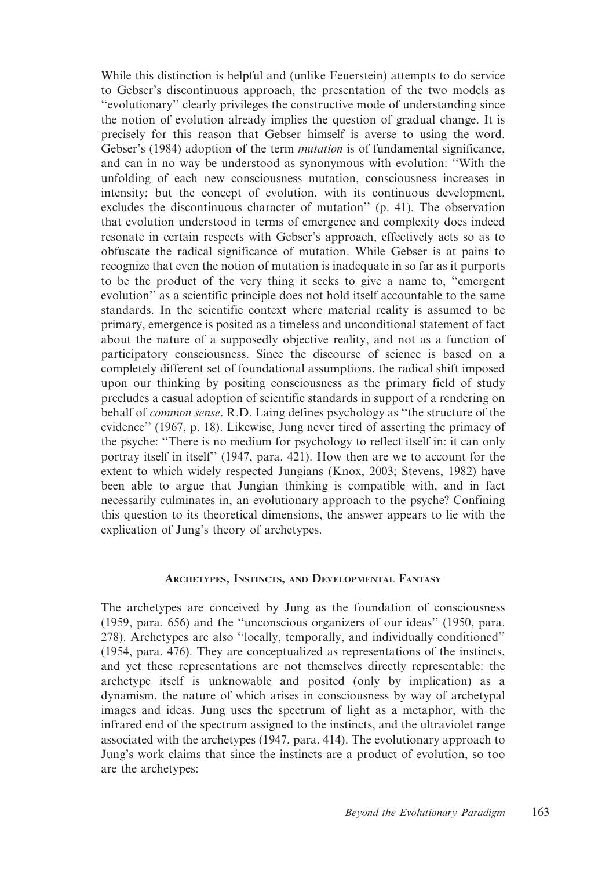While this distinction is helpful and (unlike Feuerstein) attempts to do service to Gebser's discontinuous approach, the presentation of the two models as ''evolutionary'' clearly privileges the constructive mode of understanding since the notion of evolution already implies the question of gradual change. It is precisely for this reason that Gebser himself is averse to using the word. Gebser's (1984) adoption of the term mutation is of fundamental significance, and can in no way be understood as synonymous with evolution: ''With the unfolding of each new consciousness mutation, consciousness increases in intensity; but the concept of evolution, with its continuous development, excludes the discontinuous character of mutation'' (p. 41). The observation that evolution understood in terms of emergence and complexity does indeed resonate in certain respects with Gebser's approach, effectively acts so as to obfuscate the radical significance of mutation. While Gebser is at pains to recognize that even the notion of mutation is inadequate in so far as it purports to be the product of the very thing it seeks to give a name to, ''emergent evolution'' as a scientific principle does not hold itself accountable to the same standards. In the scientific context where material reality is assumed to be primary, emergence is posited as a timeless and unconditional statement of fact about the nature of a supposedly objective reality, and not as a function of participatory consciousness. Since the discourse of science is based on a completely different set of foundational assumptions, the radical shift imposed upon our thinking by positing consciousness as the primary field of study precludes a casual adoption of scientific standards in support of a rendering on behalf of common sense. R.D. Laing defines psychology as ''the structure of the evidence'' (1967, p. 18). Likewise, Jung never tired of asserting the primacy of the psyche: ''There is no medium for psychology to reflect itself in: it can only portray itself in itself" (1947, para. 421). How then are we to account for the extent to which widely respected Jungians (Knox, 2003; Stevens, 1982) have been able to argue that Jungian thinking is compatible with, and in fact necessarily culminates in, an evolutionary approach to the psyche? Confining this question to its theoretical dimensions, the answer appears to lie with the explication of Jung's theory of archetypes.

## ARCHETYPES, INSTINCTS, AND DEVELOPMENTAL FANTASY

The archetypes are conceived by Jung as the foundation of consciousness (1959, para. 656) and the ''unconscious organizers of our ideas'' (1950, para. 278). Archetypes are also ''locally, temporally, and individually conditioned'' (1954, para. 476). They are conceptualized as representations of the instincts, and yet these representations are not themselves directly representable: the archetype itself is unknowable and posited (only by implication) as a dynamism, the nature of which arises in consciousness by way of archetypal images and ideas. Jung uses the spectrum of light as a metaphor, with the infrared end of the spectrum assigned to the instincts, and the ultraviolet range associated with the archetypes (1947, para. 414). The evolutionary approach to Jung's work claims that since the instincts are a product of evolution, so too are the archetypes: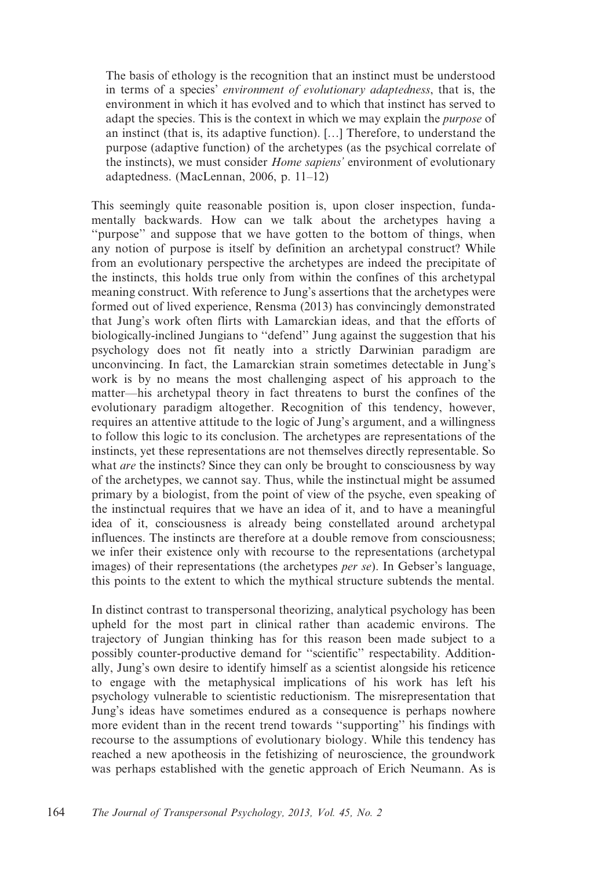The basis of ethology is the recognition that an instinct must be understood in terms of a species' environment of evolutionary adaptedness, that is, the environment in which it has evolved and to which that instinct has served to adapt the species. This is the context in which we may explain the *purpose* of an instinct (that is, its adaptive function). […] Therefore, to understand the purpose (adaptive function) of the archetypes (as the psychical correlate of the instincts), we must consider *Home sapiens'* environment of evolutionary adaptedness. (MacLennan, 2006, p. 11–12)

This seemingly quite reasonable position is, upon closer inspection, fundamentally backwards. How can we talk about the archetypes having a ''purpose'' and suppose that we have gotten to the bottom of things, when any notion of purpose is itself by definition an archetypal construct? While from an evolutionary perspective the archetypes are indeed the precipitate of the instincts, this holds true only from within the confines of this archetypal meaning construct. With reference to Jung's assertions that the archetypes were formed out of lived experience, Rensma (2013) has convincingly demonstrated that Jung's work often flirts with Lamarckian ideas, and that the efforts of biologically-inclined Jungians to ''defend'' Jung against the suggestion that his psychology does not fit neatly into a strictly Darwinian paradigm are unconvincing. In fact, the Lamarckian strain sometimes detectable in Jung's work is by no means the most challenging aspect of his approach to the matter—his archetypal theory in fact threatens to burst the confines of the evolutionary paradigm altogether. Recognition of this tendency, however, requires an attentive attitude to the logic of Jung's argument, and a willingness to follow this logic to its conclusion. The archetypes are representations of the instincts, yet these representations are not themselves directly representable. So what *are* the instincts? Since they can only be brought to consciousness by way of the archetypes, we cannot say. Thus, while the instinctual might be assumed primary by a biologist, from the point of view of the psyche, even speaking of the instinctual requires that we have an idea of it, and to have a meaningful idea of it, consciousness is already being constellated around archetypal influences. The instincts are therefore at a double remove from consciousness; we infer their existence only with recourse to the representations (archetypal images) of their representations (the archetypes per se). In Gebser's language, this points to the extent to which the mythical structure subtends the mental.

In distinct contrast to transpersonal theorizing, analytical psychology has been upheld for the most part in clinical rather than academic environs. The trajectory of Jungian thinking has for this reason been made subject to a possibly counter-productive demand for ''scientific'' respectability. Additionally, Jung's own desire to identify himself as a scientist alongside his reticence to engage with the metaphysical implications of his work has left his psychology vulnerable to scientistic reductionism. The misrepresentation that Jung's ideas have sometimes endured as a consequence is perhaps nowhere more evident than in the recent trend towards ''supporting'' his findings with recourse to the assumptions of evolutionary biology. While this tendency has reached a new apotheosis in the fetishizing of neuroscience, the groundwork was perhaps established with the genetic approach of Erich Neumann. As is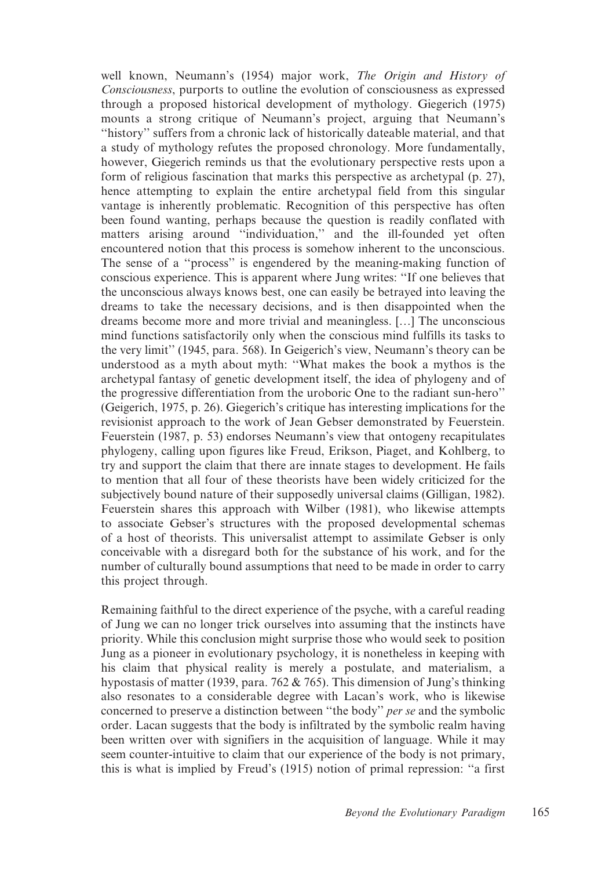well known, Neumann's (1954) major work, The Origin and History of Consciousness, purports to outline the evolution of consciousness as expressed through a proposed historical development of mythology. Giegerich (1975) mounts a strong critique of Neumann's project, arguing that Neumann's ''history'' suffers from a chronic lack of historically dateable material, and that a study of mythology refutes the proposed chronology. More fundamentally, however, Giegerich reminds us that the evolutionary perspective rests upon a form of religious fascination that marks this perspective as archetypal (p. 27), hence attempting to explain the entire archetypal field from this singular vantage is inherently problematic. Recognition of this perspective has often been found wanting, perhaps because the question is readily conflated with matters arising around ''individuation,'' and the ill-founded yet often encountered notion that this process is somehow inherent to the unconscious. The sense of a ''process'' is engendered by the meaning-making function of conscious experience. This is apparent where Jung writes: ''If one believes that the unconscious always knows best, one can easily be betrayed into leaving the dreams to take the necessary decisions, and is then disappointed when the dreams become more and more trivial and meaningless. […] The unconscious mind functions satisfactorily only when the conscious mind fulfills its tasks to the very limit'' (1945, para. 568). In Geigerich's view, Neumann's theory can be understood as a myth about myth: ''What makes the book a mythos is the archetypal fantasy of genetic development itself, the idea of phylogeny and of the progressive differentiation from the uroboric One to the radiant sun-hero'' (Geigerich, 1975, p. 26). Giegerich's critique has interesting implications for the revisionist approach to the work of Jean Gebser demonstrated by Feuerstein. Feuerstein (1987, p. 53) endorses Neumann's view that ontogeny recapitulates phylogeny, calling upon figures like Freud, Erikson, Piaget, and Kohlberg, to try and support the claim that there are innate stages to development. He fails to mention that all four of these theorists have been widely criticized for the subjectively bound nature of their supposedly universal claims (Gilligan, 1982). Feuerstein shares this approach with Wilber (1981), who likewise attempts to associate Gebser's structures with the proposed developmental schemas of a host of theorists. This universalist attempt to assimilate Gebser is only conceivable with a disregard both for the substance of his work, and for the number of culturally bound assumptions that need to be made in order to carry this project through.

Remaining faithful to the direct experience of the psyche, with a careful reading of Jung we can no longer trick ourselves into assuming that the instincts have priority. While this conclusion might surprise those who would seek to position Jung as a pioneer in evolutionary psychology, it is nonetheless in keeping with his claim that physical reality is merely a postulate, and materialism, a hypostasis of matter (1939, para. 762 & 765). This dimension of Jung's thinking also resonates to a considerable degree with Lacan's work, who is likewise concerned to preserve a distinction between ''the body'' per se and the symbolic order. Lacan suggests that the body is infiltrated by the symbolic realm having been written over with signifiers in the acquisition of language. While it may seem counter-intuitive to claim that our experience of the body is not primary, this is what is implied by Freud's (1915) notion of primal repression: ''a first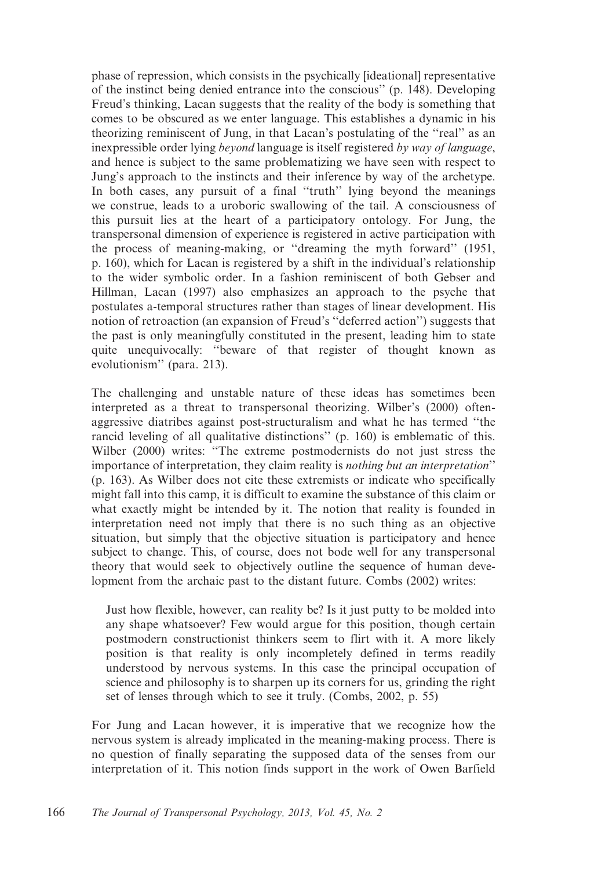phase of repression, which consists in the psychically [ideational] representative of the instinct being denied entrance into the conscious'' (p. 148). Developing Freud's thinking, Lacan suggests that the reality of the body is something that comes to be obscured as we enter language. This establishes a dynamic in his theorizing reminiscent of Jung, in that Lacan's postulating of the ''real'' as an inexpressible order lying *beyond* language is itself registered by way of language, and hence is subject to the same problematizing we have seen with respect to Jung's approach to the instincts and their inference by way of the archetype. In both cases, any pursuit of a final ''truth'' lying beyond the meanings we construe, leads to a uroboric swallowing of the tail. A consciousness of this pursuit lies at the heart of a participatory ontology. For Jung, the transpersonal dimension of experience is registered in active participation with the process of meaning-making, or ''dreaming the myth forward'' (1951, p. 160), which for Lacan is registered by a shift in the individual's relationship to the wider symbolic order. In a fashion reminiscent of both Gebser and Hillman, Lacan (1997) also emphasizes an approach to the psyche that postulates a-temporal structures rather than stages of linear development. His notion of retroaction (an expansion of Freud's ''deferred action'') suggests that the past is only meaningfully constituted in the present, leading him to state quite unequivocally: ''beware of that register of thought known as evolutionism'' (para. 213).

The challenging and unstable nature of these ideas has sometimes been interpreted as a threat to transpersonal theorizing. Wilber's (2000) oftenaggressive diatribes against post-structuralism and what he has termed ''the rancid leveling of all qualitative distinctions'' (p. 160) is emblematic of this. Wilber (2000) writes: ''The extreme postmodernists do not just stress the importance of interpretation, they claim reality is nothing but an interpretation'' (p. 163). As Wilber does not cite these extremists or indicate who specifically might fall into this camp, it is difficult to examine the substance of this claim or what exactly might be intended by it. The notion that reality is founded in interpretation need not imply that there is no such thing as an objective situation, but simply that the objective situation is participatory and hence subject to change. This, of course, does not bode well for any transpersonal theory that would seek to objectively outline the sequence of human development from the archaic past to the distant future. Combs (2002) writes:

Just how flexible, however, can reality be? Is it just putty to be molded into any shape whatsoever? Few would argue for this position, though certain postmodern constructionist thinkers seem to flirt with it. A more likely position is that reality is only incompletely defined in terms readily understood by nervous systems. In this case the principal occupation of science and philosophy is to sharpen up its corners for us, grinding the right set of lenses through which to see it truly. (Combs, 2002, p. 55)

For Jung and Lacan however, it is imperative that we recognize how the nervous system is already implicated in the meaning-making process. There is no question of finally separating the supposed data of the senses from our interpretation of it. This notion finds support in the work of Owen Barfield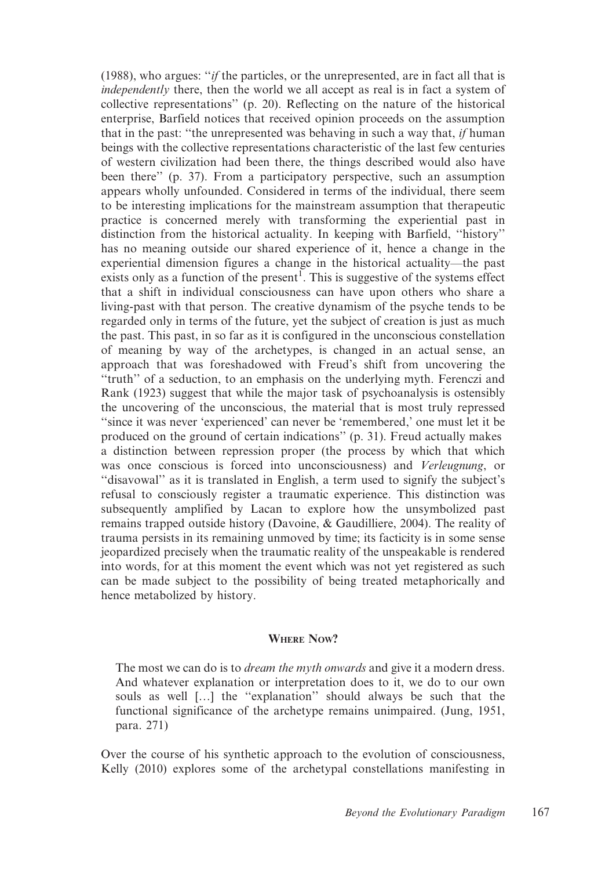(1988), who argues: ''if the particles, or the unrepresented, are in fact all that is independently there, then the world we all accept as real is in fact a system of collective representations'' (p. 20). Reflecting on the nature of the historical enterprise, Barfield notices that received opinion proceeds on the assumption that in the past: "the unrepresented was behaving in such a way that, if human beings with the collective representations characteristic of the last few centuries of western civilization had been there, the things described would also have been there'' (p. 37). From a participatory perspective, such an assumption appears wholly unfounded. Considered in terms of the individual, there seem to be interesting implications for the mainstream assumption that therapeutic practice is concerned merely with transforming the experiential past in distinction from the historical actuality. In keeping with Barfield, ''history'' has no meaning outside our shared experience of it, hence a change in the experiential dimension figures a change in the historical actuality—the past exists only as a function of the present<sup>1</sup>. This is suggestive of the systems effect that a shift in individual consciousness can have upon others who share a living-past with that person. The creative dynamism of the psyche tends to be regarded only in terms of the future, yet the subject of creation is just as much the past. This past, in so far as it is configured in the unconscious constellation of meaning by way of the archetypes, is changed in an actual sense, an approach that was foreshadowed with Freud's shift from uncovering the ''truth'' of a seduction, to an emphasis on the underlying myth. Ferenczi and Rank (1923) suggest that while the major task of psychoanalysis is ostensibly the uncovering of the unconscious, the material that is most truly repressed "since it was never 'experienced' can never be 'remembered,' one must let it be produced on the ground of certain indications'' (p. 31). Freud actually makes a distinction between repression proper (the process by which that which was once conscious is forced into unconsciousness) and Verleugnung, or ''disavowal'' as it is translated in English, a term used to signify the subject's refusal to consciously register a traumatic experience. This distinction was subsequently amplified by Lacan to explore how the unsymbolized past remains trapped outside history (Davoine, & Gaudilliere, 2004). The reality of trauma persists in its remaining unmoved by time; its facticity is in some sense jeopardized precisely when the traumatic reality of the unspeakable is rendered into words, for at this moment the event which was not yet registered as such can be made subject to the possibility of being treated metaphorically and hence metabolized by history.

# WHERE NOW?

The most we can do is to *dream the myth onwards* and give it a modern dress. And whatever explanation or interpretation does to it, we do to our own souls as well […] the ''explanation'' should always be such that the functional significance of the archetype remains unimpaired. (Jung, 1951, para. 271)

Over the course of his synthetic approach to the evolution of consciousness, Kelly (2010) explores some of the archetypal constellations manifesting in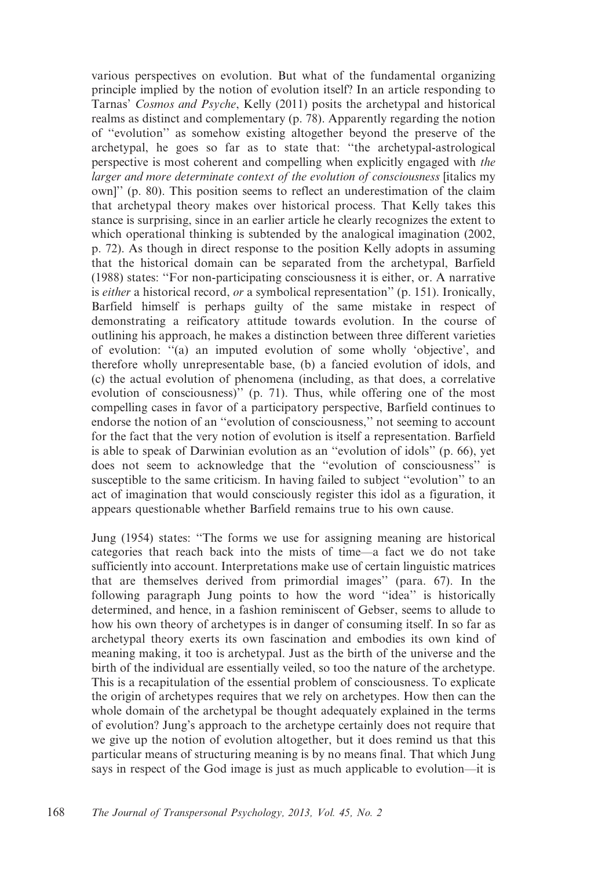various perspectives on evolution. But what of the fundamental organizing principle implied by the notion of evolution itself? In an article responding to Tarnas' Cosmos and Psyche, Kelly (2011) posits the archetypal and historical realms as distinct and complementary (p. 78). Apparently regarding the notion of ''evolution'' as somehow existing altogether beyond the preserve of the archetypal, he goes so far as to state that: ''the archetypal-astrological perspective is most coherent and compelling when explicitly engaged with the larger and more determinate context of the evolution of consciousness [italics my own]'' (p. 80). This position seems to reflect an underestimation of the claim that archetypal theory makes over historical process. That Kelly takes this stance is surprising, since in an earlier article he clearly recognizes the extent to which operational thinking is subtended by the analogical imagination (2002, p. 72). As though in direct response to the position Kelly adopts in assuming that the historical domain can be separated from the archetypal, Barfield (1988) states: ''For non-participating consciousness it is either, or. A narrative is either a historical record, or a symbolical representation" (p. 151). Ironically, Barfield himself is perhaps guilty of the same mistake in respect of demonstrating a reificatory attitude towards evolution. In the course of outlining his approach, he makes a distinction between three different varieties of evolution: ''(a) an imputed evolution of some wholly 'objective', and therefore wholly unrepresentable base, (b) a fancied evolution of idols, and (c) the actual evolution of phenomena (including, as that does, a correlative evolution of consciousness)'' (p. 71). Thus, while offering one of the most compelling cases in favor of a participatory perspective, Barfield continues to endorse the notion of an ''evolution of consciousness,'' not seeming to account for the fact that the very notion of evolution is itself a representation. Barfield is able to speak of Darwinian evolution as an ''evolution of idols'' (p. 66), yet does not seem to acknowledge that the ''evolution of consciousness'' is susceptible to the same criticism. In having failed to subject ''evolution'' to an act of imagination that would consciously register this idol as a figuration, it appears questionable whether Barfield remains true to his own cause.

Jung (1954) states: ''The forms we use for assigning meaning are historical categories that reach back into the mists of time—a fact we do not take sufficiently into account. Interpretations make use of certain linguistic matrices that are themselves derived from primordial images'' (para. 67). In the following paragraph Jung points to how the word ''idea'' is historically determined, and hence, in a fashion reminiscent of Gebser, seems to allude to how his own theory of archetypes is in danger of consuming itself. In so far as archetypal theory exerts its own fascination and embodies its own kind of meaning making, it too is archetypal. Just as the birth of the universe and the birth of the individual are essentially veiled, so too the nature of the archetype. This is a recapitulation of the essential problem of consciousness. To explicate the origin of archetypes requires that we rely on archetypes. How then can the whole domain of the archetypal be thought adequately explained in the terms of evolution? Jung's approach to the archetype certainly does not require that we give up the notion of evolution altogether, but it does remind us that this particular means of structuring meaning is by no means final. That which Jung says in respect of the God image is just as much applicable to evolution—it is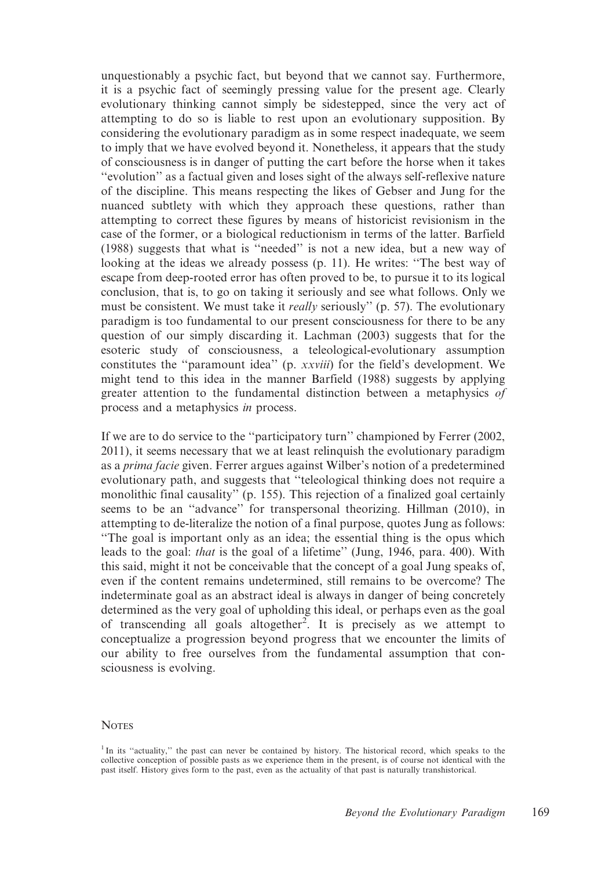unquestionably a psychic fact, but beyond that we cannot say. Furthermore, it is a psychic fact of seemingly pressing value for the present age. Clearly evolutionary thinking cannot simply be sidestepped, since the very act of attempting to do so is liable to rest upon an evolutionary supposition. By considering the evolutionary paradigm as in some respect inadequate, we seem to imply that we have evolved beyond it. Nonetheless, it appears that the study of consciousness is in danger of putting the cart before the horse when it takes ''evolution'' as a factual given and loses sight of the always self-reflexive nature of the discipline. This means respecting the likes of Gebser and Jung for the nuanced subtlety with which they approach these questions, rather than attempting to correct these figures by means of historicist revisionism in the case of the former, or a biological reductionism in terms of the latter. Barfield (1988) suggests that what is ''needed'' is not a new idea, but a new way of looking at the ideas we already possess (p. 11). He writes: ''The best way of escape from deep-rooted error has often proved to be, to pursue it to its logical conclusion, that is, to go on taking it seriously and see what follows. Only we must be consistent. We must take it *really* seriously" (p. 57). The evolutionary paradigm is too fundamental to our present consciousness for there to be any question of our simply discarding it. Lachman (2003) suggests that for the esoteric study of consciousness, a teleological-evolutionary assumption constitutes the ''paramount idea'' (p. xxviii) for the field's development. We might tend to this idea in the manner Barfield (1988) suggests by applying greater attention to the fundamental distinction between a metaphysics of process and a metaphysics in process.

If we are to do service to the ''participatory turn'' championed by Ferrer (2002, 2011), it seems necessary that we at least relinquish the evolutionary paradigm as a prima facie given. Ferrer argues against Wilber's notion of a predetermined evolutionary path, and suggests that ''teleological thinking does not require a monolithic final causality'' (p. 155). This rejection of a finalized goal certainly seems to be an ''advance'' for transpersonal theorizing. Hillman (2010), in attempting to de-literalize the notion of a final purpose, quotes Jung as follows: ''The goal is important only as an idea; the essential thing is the opus which leads to the goal: that is the goal of a lifetime'' (Jung, 1946, para. 400). With this said, might it not be conceivable that the concept of a goal Jung speaks of, even if the content remains undetermined, still remains to be overcome? The indeterminate goal as an abstract ideal is always in danger of being concretely determined as the very goal of upholding this ideal, or perhaps even as the goal of transcending all goals altogether<sup>2</sup>. It is precisely as we attempt to conceptualize a progression beyond progress that we encounter the limits of our ability to free ourselves from the fundamental assumption that consciousness is evolving.

#### **NOTES**

<sup>&</sup>lt;sup>1</sup> In its "actuality," the past can never be contained by history. The historical record, which speaks to the collective conception of possible pasts as we experience them in the present, is of course not identical with the past itself. History gives form to the past, even as the actuality of that past is naturally transhistorical.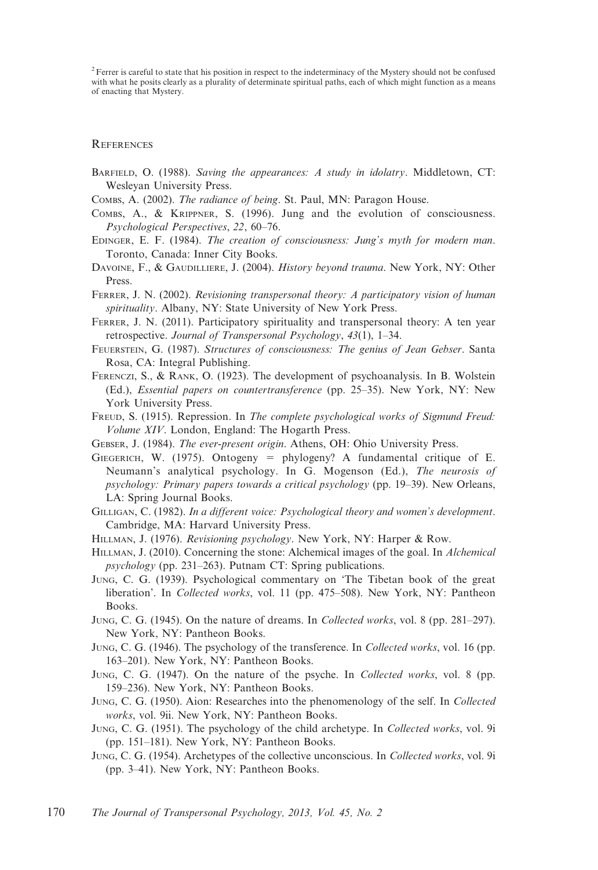<sup>2</sup> Ferrer is careful to state that his position in respect to the indeterminacy of the Mystery should not be confused with what he posits clearly as a plurality of determinate spiritual paths, each of which might function as a means of enacting that Mystery.

### REFERENCES

- BARFIELD, O. (1988). Saving the appearances: A study in idolatry. Middletown, CT: Wesleyan University Press.
- COMBS, A. (2002). The radiance of being. St. Paul, MN: Paragon House.
- COMBS, A., & KRIPPNER, S. (1996). Jung and the evolution of consciousness. Psychological Perspectives, 22, 60–76.
- EDINGER, E. F. (1984). The creation of consciousness: Jung's myth for modern man. Toronto, Canada: Inner City Books.
- DAVOINE, F., & GAUDILLIERE, J. (2004). History beyond trauma. New York, NY: Other Press.
- FERRER, J. N. (2002). Revisioning transpersonal theory: A participatory vision of human spirituality. Albany, NY: State University of New York Press.
- FERRER, J. N. (2011). Participatory spirituality and transpersonal theory: A ten year retrospective. Journal of Transpersonal Psychology, 43(1), 1–34.
- FEUERSTEIN, G. (1987). Structures of consciousness: The genius of Jean Gebser. Santa Rosa, CA: Integral Publishing.
- FERENCZI, S., & RANK, O. (1923). The development of psychoanalysis. In B. Wolstein (Ed.), Essential papers on countertransference (pp. 25–35). New York, NY: New York University Press.
- FREUD, S. (1915). Repression. In The complete psychological works of Sigmund Freud: Volume XIV. London, England: The Hogarth Press.
- GEBSER, J. (1984). The ever-present origin. Athens, OH: Ohio University Press.
- GIEGERICH, W. (1975). Ontogeny = phylogeny? A fundamental critique of E. Neumann's analytical psychology. In G. Mogenson (Ed.), The neurosis of psychology: Primary papers towards a critical psychology (pp. 19–39). New Orleans, LA: Spring Journal Books.
- GILLIGAN, C. (1982). In a different voice: Psychological theory and women's development. Cambridge, MA: Harvard University Press.
- HILLMAN, J. (1976). Revisioning psychology. New York, NY: Harper & Row.
- HILLMAN, J. (2010). Concerning the stone: Alchemical images of the goal. In Alchemical psychology (pp. 231–263). Putnam CT: Spring publications.
- JUNG, C. G. (1939). Psychological commentary on 'The Tibetan book of the great liberation'. In Collected works, vol. 11 (pp. 475–508). New York, NY: Pantheon Books.
- JUNG, C. G. (1945). On the nature of dreams. In Collected works, vol. 8 (pp. 281–297). New York, NY: Pantheon Books.
- JUNG, C. G. (1946). The psychology of the transference. In Collected works, vol. 16 (pp. 163–201). New York, NY: Pantheon Books.
- JUNG, C. G. (1947). On the nature of the psyche. In Collected works, vol. 8 (pp. 159–236). New York, NY: Pantheon Books.
- JUNG, C. G. (1950). Aion: Researches into the phenomenology of the self. In Collected works, vol. 9ii. New York, NY: Pantheon Books.
- JUNG, C. G. (1951). The psychology of the child archetype. In Collected works, vol. 9i (pp. 151–181). New York, NY: Pantheon Books.
- JUNG, C. G. (1954). Archetypes of the collective unconscious. In Collected works, vol. 9i (pp. 3–41). New York, NY: Pantheon Books.